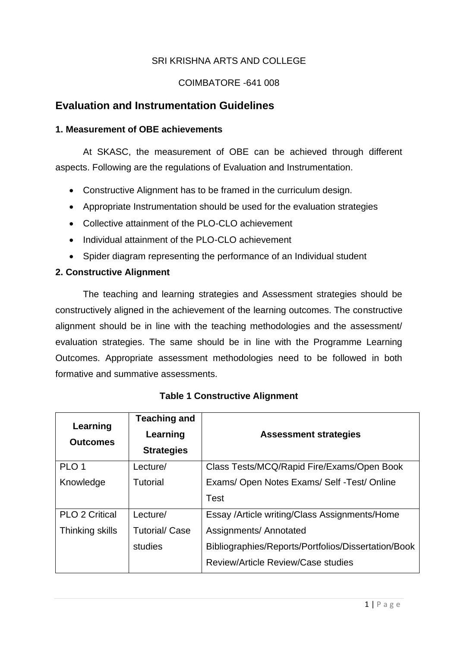# SRI KRISHNA ARTS AND COLLEGE

#### COIMBATORE -641 008

# **Evaluation and Instrumentation Guidelines**

#### **1. Measurement of OBE achievements**

At SKASC, the measurement of OBE can be achieved through different aspects. Following are the regulations of Evaluation and Instrumentation.

- Constructive Alignment has to be framed in the curriculum design.
- Appropriate Instrumentation should be used for the evaluation strategies
- Collective attainment of the PLO-CLO achievement
- Individual attainment of the PLO-CLO achievement
- Spider diagram representing the performance of an Individual student

## **2. Constructive Alignment**

The teaching and learning strategies and Assessment strategies should be constructively aligned in the achievement of the learning outcomes. The constructive alignment should be in line with the teaching methodologies and the assessment/ evaluation strategies. The same should be in line with the Programme Learning Outcomes. Appropriate assessment methodologies need to be followed in both formative and summative assessments.

| Learning<br><b>Outcomes</b> | <b>Teaching and</b><br>Learning<br><b>Strategies</b> | <b>Assessment strategies</b>                        |
|-----------------------------|------------------------------------------------------|-----------------------------------------------------|
| PLO <sub>1</sub>            | Lecture/                                             | Class Tests/MCQ/Rapid Fire/Exams/Open Book          |
| Knowledge                   | Tutorial                                             | Exams/ Open Notes Exams/ Self - Test/ Online        |
|                             |                                                      | <b>Test</b>                                         |
| <b>PLO 2 Critical</b>       | Lecture/                                             | Essay /Article writing/Class Assignments/Home       |
| Thinking skills             | <b>Tutorial/Case</b>                                 | Assignments/ Annotated                              |
|                             | studies                                              | Bibliographies/Reports/Portfolios/Dissertation/Book |
|                             |                                                      | Review/Article Review/Case studies                  |

## **Table 1 Constructive Alignment**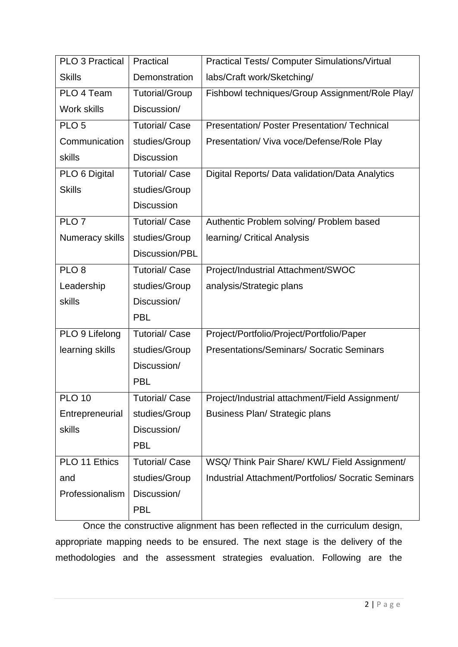| <b>PLO 3 Practical</b> | Practical             | <b>Practical Tests/ Computer Simulations/Virtual</b>       |  |  |  |  |
|------------------------|-----------------------|------------------------------------------------------------|--|--|--|--|
| <b>Skills</b>          | Demonstration         | labs/Craft work/Sketching/                                 |  |  |  |  |
| PLO 4 Team             | <b>Tutorial/Group</b> | Fishbowl techniques/Group Assignment/Role Play/            |  |  |  |  |
| Work skills            | Discussion/           |                                                            |  |  |  |  |
| PLO <sub>5</sub>       | <b>Tutorial/Case</b>  | Presentation/ Poster Presentation/ Technical               |  |  |  |  |
| Communication          | studies/Group         | Presentation/ Viva voce/Defense/Role Play                  |  |  |  |  |
| skills                 | <b>Discussion</b>     |                                                            |  |  |  |  |
| PLO 6 Digital          | <b>Tutorial/ Case</b> | Digital Reports/ Data validation/Data Analytics            |  |  |  |  |
| <b>Skills</b>          | studies/Group         |                                                            |  |  |  |  |
|                        | <b>Discussion</b>     |                                                            |  |  |  |  |
| PLO7                   | <b>Tutorial/Case</b>  | Authentic Problem solving/ Problem based                   |  |  |  |  |
| Numeracy skills        | studies/Group         | learning/ Critical Analysis                                |  |  |  |  |
|                        | Discussion/PBL        |                                                            |  |  |  |  |
| PLO <sub>8</sub>       | <b>Tutorial/Case</b>  | Project/Industrial Attachment/SWOC                         |  |  |  |  |
| Leadership             | studies/Group         | analysis/Strategic plans                                   |  |  |  |  |
| skills                 | Discussion/           |                                                            |  |  |  |  |
|                        | <b>PBL</b>            |                                                            |  |  |  |  |
| PLO 9 Lifelong         | <b>Tutorial/Case</b>  | Project/Portfolio/Project/Portfolio/Paper                  |  |  |  |  |
| learning skills        | studies/Group         | <b>Presentations/Seminars/ Socratic Seminars</b>           |  |  |  |  |
|                        | Discussion/           |                                                            |  |  |  |  |
|                        | <b>PBL</b>            |                                                            |  |  |  |  |
| <b>PLO 10</b>          | <b>Tutorial/ Case</b> | Project/Industrial attachment/Field Assignment/            |  |  |  |  |
| Entrepreneurial        | studies/Group         | Business Plan/ Strategic plans                             |  |  |  |  |
| skills                 | Discussion/           |                                                            |  |  |  |  |
|                        | <b>PBL</b>            |                                                            |  |  |  |  |
| PLO 11 Ethics          | <b>Tutorial/Case</b>  | WSQ/Think Pair Share/KWL/Field Assignment/                 |  |  |  |  |
| and                    | studies/Group         | <b>Industrial Attachment/Portfolios/ Socratic Seminars</b> |  |  |  |  |
| Professionalism        | Discussion/           |                                                            |  |  |  |  |
|                        | <b>PBL</b>            |                                                            |  |  |  |  |

Once the constructive alignment has been reflected in the curriculum design, appropriate mapping needs to be ensured. The next stage is the delivery of the methodologies and the assessment strategies evaluation. Following are the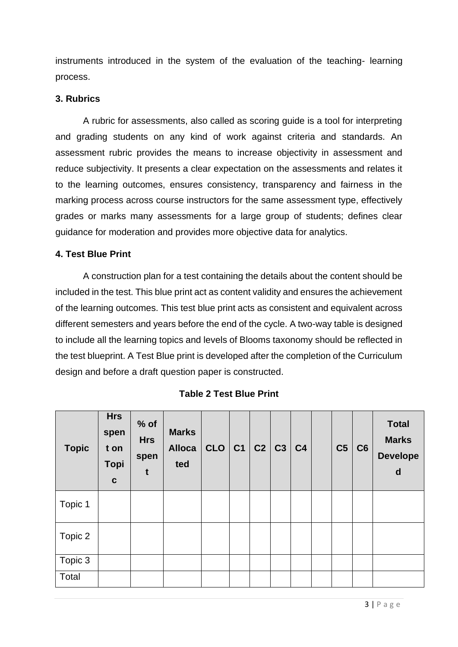instruments introduced in the system of the evaluation of the teaching- learning process.

#### **3. Rubrics**

A rubric for assessments, also called as scoring guide is a tool for interpreting and grading students on any kind of work against criteria and standards. An assessment rubric provides the means to increase objectivity in assessment and reduce subjectivity. It presents a clear expectation on the assessments and relates it to the learning outcomes, ensures consistency, transparency and fairness in the marking process across course instructors for the same assessment type, effectively grades or marks many assessments for a large group of students; defines clear guidance for moderation and provides more objective data for analytics.

#### **4. Test Blue Print**

A construction plan for a test containing the details about the content should be included in the test. This blue print act as content validity and ensures the achievement of the learning outcomes. This test blue print acts as consistent and equivalent across different semesters and years before the end of the cycle. A two-way table is designed to include all the learning topics and levels of Blooms taxonomy should be reflected in the test blueprint. A Test Blue print is developed after the completion of the Curriculum design and before a draft question paper is constructed.

| <b>Topic</b> | <b>Hrs</b><br>spen<br>t on<br><b>Topi</b><br>$\mathbf c$ | $%$ of<br><b>Hrs</b><br>spen<br>t | <b>Marks</b><br><b>Alloca</b><br>ted | CLO   C1   C2   C3   C4 |  |  | C <sub>5</sub> | C6 | <b>Total</b><br><b>Marks</b><br><b>Develope</b><br>d |
|--------------|----------------------------------------------------------|-----------------------------------|--------------------------------------|-------------------------|--|--|----------------|----|------------------------------------------------------|
| Topic 1      |                                                          |                                   |                                      |                         |  |  |                |    |                                                      |
| Topic 2      |                                                          |                                   |                                      |                         |  |  |                |    |                                                      |
| Topic 3      |                                                          |                                   |                                      |                         |  |  |                |    |                                                      |
| Total        |                                                          |                                   |                                      |                         |  |  |                |    |                                                      |

**Table 2 Test Blue Print**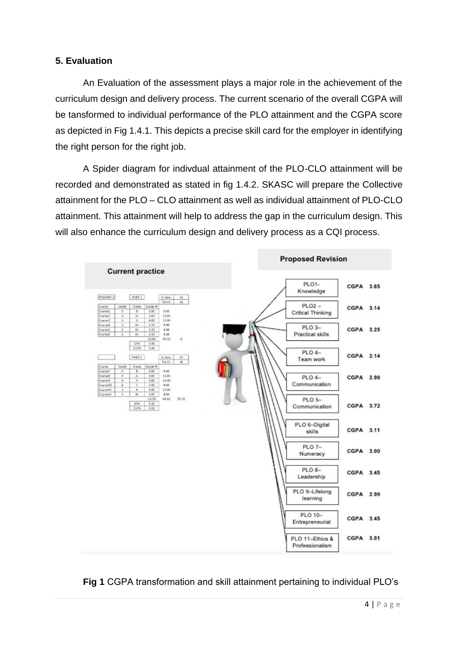# **5. Evaluation**

An Evaluation of the assessment plays a major role in the achievement of the curriculum design and delivery process. The current scenario of the overall CGPA will be tansformed to individual performance of the PLO attainment and the CGPA score as depicted in Fig 1.4.1. This depicts a precise skill card for the employer in identifying the right person for the right job.

A Spider diagram for indivdual attainment of the PLO-CLO attainment will be recorded and demonstrated as stated in fig 1.4.2. SKASC will prepare the Collective attainment for the PLO – CLO attainment as well as individual attainment of PLO-CLO attainment. This attainment will help to address the gap in the curriculum design. This will also enhance the curriculum design and delivery process as a CQI process.